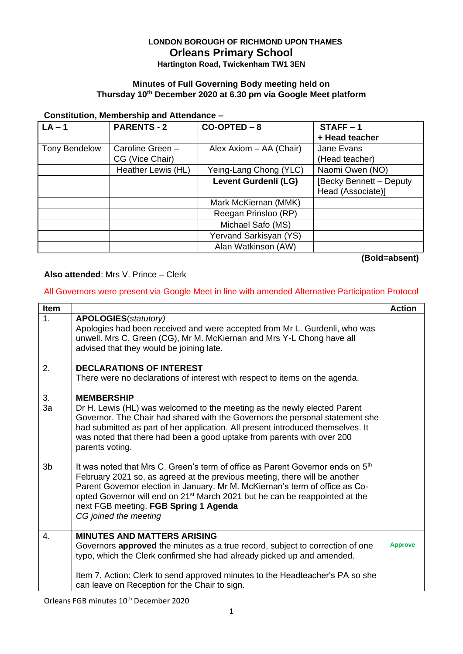# **LONDON BOROUGH OF RICHMOND UPON THAMES Orleans Primary School**

**Hartington Road, Twickenham TW1 3EN**

### **Minutes of Full Governing Body meeting held on Thursday 10th December 2020 at 6.30 pm via Google Meet platform**

#### **Constitution, Membership and Attendance –**

| $LA - 1$             | <b>PARENTS - 2</b> | $CO-OPTED - 8$          | $STATE - 1$                   |
|----------------------|--------------------|-------------------------|-------------------------------|
|                      |                    |                         | + Head teacher                |
| <b>Tony Bendelow</b> | Caroline Green -   | Alex Axiom - AA (Chair) | Jane Evans                    |
|                      | CG (Vice Chair)    |                         | (Head teacher)                |
|                      | Heather Lewis (HL) | Yeing-Lang Chong (YLC)  | Naomi Owen (NO)               |
|                      |                    | Levent Gurdenli (LG)    | <b>Becky Bennett - Deputy</b> |
|                      |                    |                         | Head (Associate)]             |
|                      |                    | Mark McKiernan (MMK)    |                               |
|                      |                    | Reegan Prinsloo (RP)    |                               |
|                      |                    | Michael Safo (MS)       |                               |
|                      |                    | Yervand Sarkisyan (YS)  |                               |
|                      |                    | Alan Watkinson (AW)     |                               |

**(Bold=absent)**

### **Also attended**: Mrs V. Prince – Clerk

### All Governors were present via Google Meet in line with amended Alternative Participation Protocol

| Item           |                                                                                                                                                                                                                                                                                                                                                                                                                       | <b>Action</b>  |
|----------------|-----------------------------------------------------------------------------------------------------------------------------------------------------------------------------------------------------------------------------------------------------------------------------------------------------------------------------------------------------------------------------------------------------------------------|----------------|
| 1.             | <b>APOLOGIES</b> (statutory)<br>Apologies had been received and were accepted from Mr L. Gurdenli, who was<br>unwell. Mrs C. Green (CG), Mr M. McKiernan and Mrs Y-L Chong have all<br>advised that they would be joining late.                                                                                                                                                                                       |                |
| 2.             | <b>DECLARATIONS OF INTEREST</b><br>There were no declarations of interest with respect to items on the agenda.                                                                                                                                                                                                                                                                                                        |                |
| 3.<br>3a       | <b>MEMBERSHIP</b><br>Dr H. Lewis (HL) was welcomed to the meeting as the newly elected Parent<br>Governor. The Chair had shared with the Governors the personal statement she<br>had submitted as part of her application. All present introduced themselves. It<br>was noted that there had been a good uptake from parents with over 200<br>parents voting.                                                         |                |
| 3 <sub>b</sub> | It was noted that Mrs C. Green's term of office as Parent Governor ends on 5 <sup>th</sup><br>February 2021 so, as agreed at the previous meeting, there will be another<br>Parent Governor election in January. Mr M. McKiernan's term of office as Co-<br>opted Governor will end on 21 <sup>st</sup> March 2021 but he can be reappointed at the<br>next FGB meeting. FGB Spring 1 Agenda<br>CG joined the meeting |                |
| 4.             | <b>MINUTES AND MATTERS ARISING</b><br>Governors <b>approved</b> the minutes as a true record, subject to correction of one<br>typo, which the Clerk confirmed she had already picked up and amended.                                                                                                                                                                                                                  | <b>Approve</b> |
|                | Item 7, Action: Clerk to send approved minutes to the Headteacher's PA so she<br>can leave on Reception for the Chair to sign.                                                                                                                                                                                                                                                                                        |                |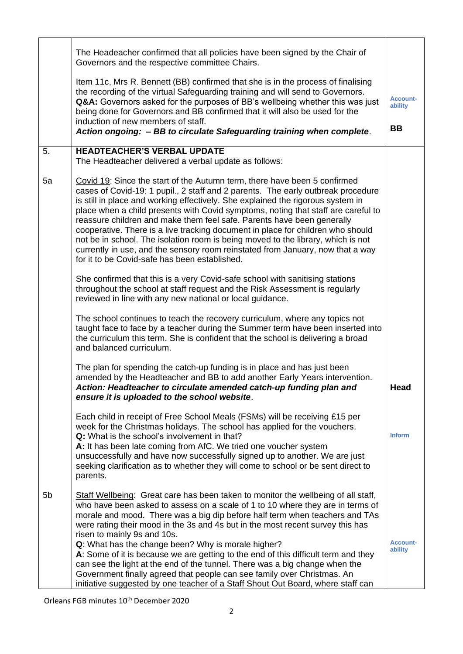|    | The Headeacher confirmed that all policies have been signed by the Chair of<br>Governors and the respective committee Chairs.                                                                                                                                                                                                                                                                                                                                                                                                                                                                                                                                                                                             |                            |  |
|----|---------------------------------------------------------------------------------------------------------------------------------------------------------------------------------------------------------------------------------------------------------------------------------------------------------------------------------------------------------------------------------------------------------------------------------------------------------------------------------------------------------------------------------------------------------------------------------------------------------------------------------------------------------------------------------------------------------------------------|----------------------------|--|
|    | Item 11c, Mrs R. Bennett (BB) confirmed that she is in the process of finalising<br>the recording of the virtual Safeguarding training and will send to Governors.<br>Q&A: Governors asked for the purposes of BB's wellbeing whether this was just<br>being done for Governors and BB confirmed that it will also be used for the<br>induction of new members of staff.<br>Action ongoing: - BB to circulate Safeguarding training when complete.                                                                                                                                                                                                                                                                        |                            |  |
|    |                                                                                                                                                                                                                                                                                                                                                                                                                                                                                                                                                                                                                                                                                                                           |                            |  |
| 5. | <b>HEADTEACHER'S VERBAL UPDATE</b><br>The Headteacher delivered a verbal update as follows:                                                                                                                                                                                                                                                                                                                                                                                                                                                                                                                                                                                                                               |                            |  |
| 5a | Covid 19: Since the start of the Autumn term, there have been 5 confirmed<br>cases of Covid-19: 1 pupil., 2 staff and 2 parents. The early outbreak procedure<br>is still in place and working effectively. She explained the rigorous system in<br>place when a child presents with Covid symptoms, noting that staff are careful to<br>reassure children and make them feel safe. Parents have been generally<br>cooperative. There is a live tracking document in place for children who should<br>not be in school. The isolation room is being moved to the library, which is not<br>currently in use, and the sensory room reinstated from January, now that a way<br>for it to be Covid-safe has been established. |                            |  |
|    | She confirmed that this is a very Covid-safe school with sanitising stations<br>throughout the school at staff request and the Risk Assessment is regularly<br>reviewed in line with any new national or local guidance.                                                                                                                                                                                                                                                                                                                                                                                                                                                                                                  |                            |  |
|    | The school continues to teach the recovery curriculum, where any topics not<br>taught face to face by a teacher during the Summer term have been inserted into<br>the curriculum this term. She is confident that the school is delivering a broad<br>and balanced curriculum.                                                                                                                                                                                                                                                                                                                                                                                                                                            |                            |  |
|    | The plan for spending the catch-up funding is in place and has just been<br>amended by the Headteacher and BB to add another Early Years intervention.<br>Action: Headteacher to circulate amended catch-up funding plan and<br>ensure it is uploaded to the school website.                                                                                                                                                                                                                                                                                                                                                                                                                                              | Head                       |  |
|    | Each child in receipt of Free School Meals (FSMs) will be receiving £15 per<br>week for the Christmas holidays. The school has applied for the vouchers.<br>Q: What is the school's involvement in that?<br>A: It has been late coming from AfC. We tried one voucher system<br>unsuccessfully and have now successfully signed up to another. We are just<br>seeking clarification as to whether they will come to school or be sent direct to<br>parents.                                                                                                                                                                                                                                                               | <b>Inform</b>              |  |
| 5b | Staff Wellbeing: Great care has been taken to monitor the wellbeing of all staff,<br>who have been asked to assess on a scale of 1 to 10 where they are in terms of<br>morale and mood. There was a big dip before half term when teachers and TAs<br>were rating their mood in the 3s and 4s but in the most recent survey this has<br>risen to mainly 9s and 10s.<br>Q: What has the change been? Why is morale higher?<br>A: Some of it is because we are getting to the end of this difficult term and they                                                                                                                                                                                                           | <b>Account-</b><br>ability |  |
|    | can see the light at the end of the tunnel. There was a big change when the<br>Government finally agreed that people can see family over Christmas. An<br>initiative suggested by one teacher of a Staff Shout Out Board, where staff can                                                                                                                                                                                                                                                                                                                                                                                                                                                                                 |                            |  |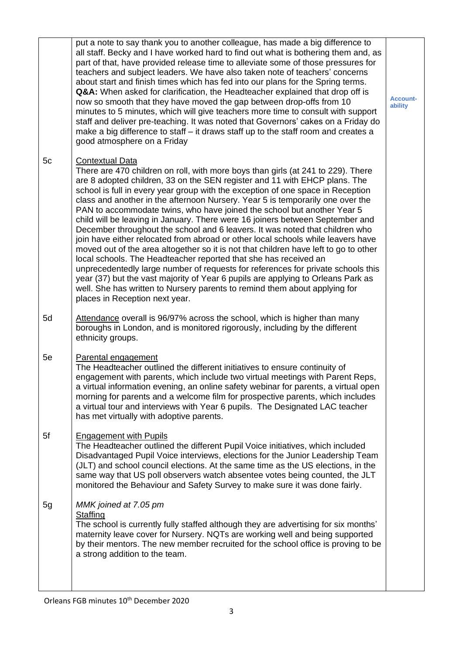|    | put a note to say thank you to another colleague, has made a big difference to<br>all staff. Becky and I have worked hard to find out what is bothering them and, as<br>part of that, have provided release time to alleviate some of those pressures for<br>teachers and subject leaders. We have also taken note of teachers' concerns<br>about start and finish times which has fed into our plans for the Spring terms.<br>Q&A: When asked for clarification, the Headteacher explained that drop off is<br>now so smooth that they have moved the gap between drop-offs from 10<br>minutes to 5 minutes, which will give teachers more time to consult with support<br>staff and deliver pre-teaching. It was noted that Governors' cakes on a Friday do<br>make a big difference to staff - it draws staff up to the staff room and creates a<br>good atmosphere on a Friday                                                                                                                                                                                                                                                                | <b>Account-</b><br>ability |
|----|---------------------------------------------------------------------------------------------------------------------------------------------------------------------------------------------------------------------------------------------------------------------------------------------------------------------------------------------------------------------------------------------------------------------------------------------------------------------------------------------------------------------------------------------------------------------------------------------------------------------------------------------------------------------------------------------------------------------------------------------------------------------------------------------------------------------------------------------------------------------------------------------------------------------------------------------------------------------------------------------------------------------------------------------------------------------------------------------------------------------------------------------------|----------------------------|
| 5c | <b>Contextual Data</b><br>There are 470 children on roll, with more boys than girls (at 241 to 229). There<br>are 8 adopted children, 33 on the SEN register and 11 with EHCP plans. The<br>school is full in every year group with the exception of one space in Reception<br>class and another in the afternoon Nursery. Year 5 is temporarily one over the<br>PAN to accommodate twins, who have joined the school but another Year 5<br>child will be leaving in January. There were 16 joiners between September and<br>December throughout the school and 6 leavers. It was noted that children who<br>join have either relocated from abroad or other local schools while leavers have<br>moved out of the area altogether so it is not that children have left to go to other<br>local schools. The Headteacher reported that she has received an<br>unprecedentedly large number of requests for references for private schools this<br>year (37) but the vast majority of Year 6 pupils are applying to Orleans Park as<br>well. She has written to Nursery parents to remind them about applying for<br>places in Reception next year. |                            |
| 5d | Attendance overall is 96/97% across the school, which is higher than many<br>boroughs in London, and is monitored rigorously, including by the different<br>ethnicity groups.                                                                                                                                                                                                                                                                                                                                                                                                                                                                                                                                                                                                                                                                                                                                                                                                                                                                                                                                                                     |                            |
| 5e | Parental engagement<br>The Headteacher outlined the different initiatives to ensure continuity of<br>engagement with parents, which include two virtual meetings with Parent Reps,<br>a virtual information evening, an online safety webinar for parents, a virtual open<br>morning for parents and a welcome film for prospective parents, which includes<br>a virtual tour and interviews with Year 6 pupils. The Designated LAC teacher<br>has met virtually with adoptive parents.                                                                                                                                                                                                                                                                                                                                                                                                                                                                                                                                                                                                                                                           |                            |
| 5f | <b>Engagement with Pupils</b><br>The Headteacher outlined the different Pupil Voice initiatives, which included<br>Disadvantaged Pupil Voice interviews, elections for the Junior Leadership Team<br>(JLT) and school council elections. At the same time as the US elections, in the<br>same way that US poll observers watch absentee votes being counted, the JLT<br>monitored the Behaviour and Safety Survey to make sure it was done fairly.                                                                                                                                                                                                                                                                                                                                                                                                                                                                                                                                                                                                                                                                                                |                            |
| 5g | MMK joined at 7.05 pm<br><b>Staffing</b><br>The school is currently fully staffed although they are advertising for six months'<br>maternity leave cover for Nursery. NQTs are working well and being supported<br>by their mentors. The new member recruited for the school office is proving to be<br>a strong addition to the team.                                                                                                                                                                                                                                                                                                                                                                                                                                                                                                                                                                                                                                                                                                                                                                                                            |                            |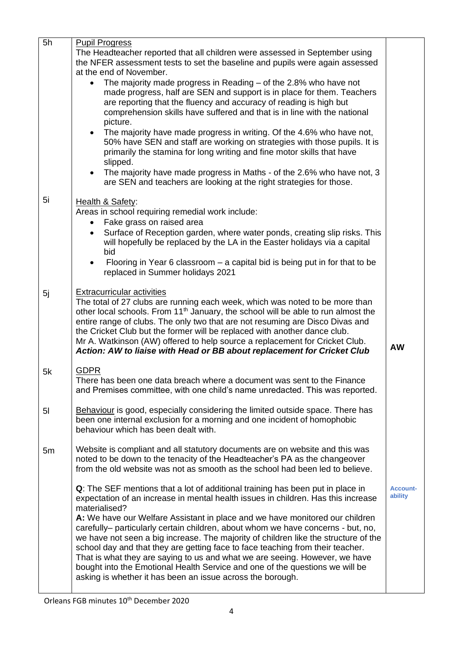| 5h             | <b>Pupil Progress</b>                                                                                                                                           |                 |  |
|----------------|-----------------------------------------------------------------------------------------------------------------------------------------------------------------|-----------------|--|
|                | The Headteacher reported that all children were assessed in September using                                                                                     |                 |  |
|                | the NFER assessment tests to set the baseline and pupils were again assessed                                                                                    |                 |  |
|                | at the end of November.                                                                                                                                         |                 |  |
|                | The majority made progress in Reading $-$ of the 2.8% who have not<br>$\bullet$                                                                                 |                 |  |
|                | made progress, half are SEN and support is in place for them. Teachers                                                                                          |                 |  |
|                | are reporting that the fluency and accuracy of reading is high but                                                                                              |                 |  |
|                | comprehension skills have suffered and that is in line with the national                                                                                        |                 |  |
|                | picture.                                                                                                                                                        |                 |  |
|                | The majority have made progress in writing. Of the 4.6% who have not,<br>$\bullet$<br>50% have SEN and staff are working on strategies with those pupils. It is |                 |  |
|                | primarily the stamina for long writing and fine motor skills that have                                                                                          |                 |  |
|                | slipped.                                                                                                                                                        |                 |  |
|                | The majority have made progress in Maths - of the 2.6% who have not, 3<br>$\bullet$                                                                             |                 |  |
|                | are SEN and teachers are looking at the right strategies for those.                                                                                             |                 |  |
|                |                                                                                                                                                                 |                 |  |
| 5i             | Health & Safety:                                                                                                                                                |                 |  |
|                | Areas in school requiring remedial work include:                                                                                                                |                 |  |
|                | Fake grass on raised area                                                                                                                                       |                 |  |
|                | Surface of Reception garden, where water ponds, creating slip risks. This<br>$\bullet$                                                                          |                 |  |
|                | will hopefully be replaced by the LA in the Easter holidays via a capital                                                                                       |                 |  |
|                | bid                                                                                                                                                             |                 |  |
|                | Flooring in Year 6 classroom $-$ a capital bid is being put in for that to be<br>$\bullet$<br>replaced in Summer holidays 2021                                  |                 |  |
|                |                                                                                                                                                                 |                 |  |
| 5j             | <b>Extracurricular activities</b>                                                                                                                               |                 |  |
|                | The total of 27 clubs are running each week, which was noted to be more than                                                                                    |                 |  |
|                | other local schools. From 11 <sup>th</sup> January, the school will be able to run almost the                                                                   |                 |  |
|                | entire range of clubs. The only two that are not resuming are Disco Divas and                                                                                   |                 |  |
|                | the Cricket Club but the former will be replaced with another dance club.                                                                                       |                 |  |
|                | Mr A. Watkinson (AW) offered to help source a replacement for Cricket Club.                                                                                     | <b>AW</b>       |  |
|                | Action: AW to liaise with Head or BB about replacement for Cricket Club                                                                                         |                 |  |
| 5k             | <b>GDPR</b>                                                                                                                                                     |                 |  |
|                | There has been one data breach where a document was sent to the Finance                                                                                         |                 |  |
|                | and Premises committee, with one child's name unredacted. This was reported.                                                                                    |                 |  |
|                |                                                                                                                                                                 |                 |  |
| 5 <sup>1</sup> | Behaviour is good, especially considering the limited outside space. There has                                                                                  |                 |  |
|                | been one internal exclusion for a morning and one incident of homophobic                                                                                        |                 |  |
|                | behaviour which has been dealt with.                                                                                                                            |                 |  |
|                | Website is compliant and all statutory documents are on website and this was                                                                                    |                 |  |
| 5m             | noted to be down to the tenacity of the Headteacher's PA as the changeover                                                                                      |                 |  |
|                | from the old website was not as smooth as the school had been led to believe.                                                                                   |                 |  |
|                |                                                                                                                                                                 |                 |  |
|                | Q: The SEF mentions that a lot of additional training has been put in place in                                                                                  | <b>Account-</b> |  |
|                | expectation of an increase in mental health issues in children. Has this increase                                                                               | ability         |  |
|                | materialised?                                                                                                                                                   |                 |  |
|                | A: We have our Welfare Assistant in place and we have monitored our children                                                                                    |                 |  |
|                | carefully- particularly certain children, about whom we have concerns - but, no,                                                                                |                 |  |
|                | we have not seen a big increase. The majority of children like the structure of the                                                                             |                 |  |
|                | school day and that they are getting face to face teaching from their teacher.                                                                                  |                 |  |
|                | That is what they are saying to us and what we are seeing. However, we have                                                                                     |                 |  |
|                | bought into the Emotional Health Service and one of the questions we will be<br>asking is whether it has been an issue across the borough.                      |                 |  |
|                |                                                                                                                                                                 |                 |  |
|                |                                                                                                                                                                 |                 |  |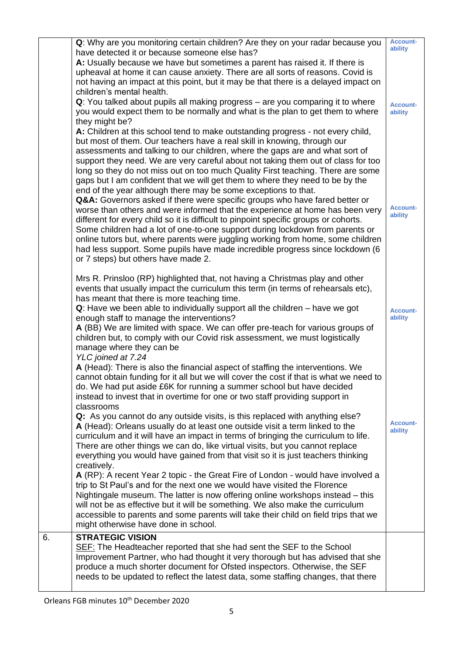|                  | Q: Why are you monitoring certain children? Are they on your radar because you<br>have detected it or because someone else has?<br>A: Usually because we have but sometimes a parent has raised it. If there is<br>upheaval at home it can cause anxiety. There are all sorts of reasons. Covid is<br>not having an impact at this point, but it may be that there is a delayed impact on<br>children's mental health.<br>Q: You talked about pupils all making progress - are you comparing it to where<br>you would expect them to be normally and what is the plan to get them to where<br>they might be?<br>A: Children at this school tend to make outstanding progress - not every child,<br>but most of them. Our teachers have a real skill in knowing, through our<br>assessments and talking to our children, where the gaps are and what sort of<br>support they need. We are very careful about not taking them out of class for too<br>long so they do not miss out on too much Quality First teaching. There are some<br>gaps but I am confident that we will get them to where they need to be by the | <b>Account-</b><br>ability<br><b>Account-</b><br>ability |
|------------------|----------------------------------------------------------------------------------------------------------------------------------------------------------------------------------------------------------------------------------------------------------------------------------------------------------------------------------------------------------------------------------------------------------------------------------------------------------------------------------------------------------------------------------------------------------------------------------------------------------------------------------------------------------------------------------------------------------------------------------------------------------------------------------------------------------------------------------------------------------------------------------------------------------------------------------------------------------------------------------------------------------------------------------------------------------------------------------------------------------------------|----------------------------------------------------------|
|                  | end of the year although there may be some exceptions to that.<br>Q&A: Governors asked if there were specific groups who have fared better or<br>worse than others and were informed that the experience at home has been very<br>different for every child so it is difficult to pinpoint specific groups or cohorts.<br>Some children had a lot of one-to-one support during lockdown from parents or<br>online tutors but, where parents were juggling working from home, some children<br>had less support. Some pupils have made incredible progress since lockdown (6<br>or 7 steps) but others have made 2.                                                                                                                                                                                                                                                                                                                                                                                                                                                                                                   | <b>Account-</b><br>ability                               |
|                  | Mrs R. Prinsloo (RP) highlighted that, not having a Christmas play and other<br>events that usually impact the curriculum this term (in terms of rehearsals etc),<br>has meant that there is more teaching time.<br>$Q$ : Have we been able to individually support all the children $-$ have we got<br>enough staff to manage the interventions?<br>A (BB) We are limited with space. We can offer pre-teach for various groups of<br>children but, to comply with our Covid risk assessment, we must logistically<br>manage where they can be<br>YLC joined at 7.24                                                                                                                                                                                                                                                                                                                                                                                                                                                                                                                                                | <b>Account-</b><br>ability                               |
|                  | A (Head): There is also the financial aspect of staffing the interventions. We<br>cannot obtain funding for it all but we will cover the cost if that is what we need to<br>do. We had put aside £6K for running a summer school but have decided<br>instead to invest that in overtime for one or two staff providing support in<br>classrooms<br>Q: As you cannot do any outside visits, is this replaced with anything else?<br>A (Head): Orleans usually do at least one outside visit a term linked to the<br>curriculum and it will have an impact in terms of bringing the curriculum to life.<br>There are other things we can do, like virtual visits, but you cannot replace<br>everything you would have gained from that visit so it is just teachers thinking<br>creatively.                                                                                                                                                                                                                                                                                                                            | <b>Account-</b><br>ability                               |
|                  | A (RP): A recent Year 2 topic - the Great Fire of London - would have involved a<br>trip to St Paul's and for the next one we would have visited the Florence<br>Nightingale museum. The latter is now offering online workshops instead – this<br>will not be as effective but it will be something. We also make the curriculum<br>accessible to parents and some parents will take their child on field trips that we<br>might otherwise have done in school.                                                                                                                                                                                                                                                                                                                                                                                                                                                                                                                                                                                                                                                     |                                                          |
| $\overline{6}$ . | <b>STRATEGIC VISION</b><br>SEF: The Headteacher reported that she had sent the SEF to the School<br>Improvement Partner, who had thought it very thorough but has advised that she<br>produce a much shorter document for Ofsted inspectors. Otherwise, the SEF<br>needs to be updated to reflect the latest data, some staffing changes, that there                                                                                                                                                                                                                                                                                                                                                                                                                                                                                                                                                                                                                                                                                                                                                                 |                                                          |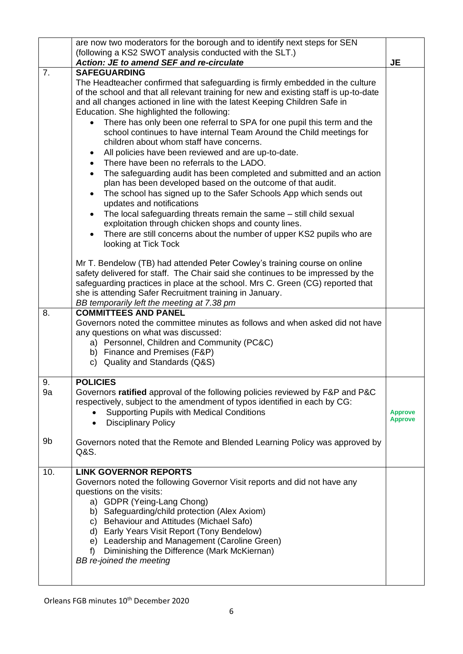|                | are now two moderators for the borough and to identify next steps for SEN                                                                                                                                                                                                                                                                                                                                                                                                                                                                                                                                                                                                                                                                                                                                                                                                                                                                                                                                                                                                                                                                                             |                                  |
|----------------|-----------------------------------------------------------------------------------------------------------------------------------------------------------------------------------------------------------------------------------------------------------------------------------------------------------------------------------------------------------------------------------------------------------------------------------------------------------------------------------------------------------------------------------------------------------------------------------------------------------------------------------------------------------------------------------------------------------------------------------------------------------------------------------------------------------------------------------------------------------------------------------------------------------------------------------------------------------------------------------------------------------------------------------------------------------------------------------------------------------------------------------------------------------------------|----------------------------------|
|                | (following a KS2 SWOT analysis conducted with the SLT.)                                                                                                                                                                                                                                                                                                                                                                                                                                                                                                                                                                                                                                                                                                                                                                                                                                                                                                                                                                                                                                                                                                               |                                  |
|                | Action: JE to amend SEF and re-circulate                                                                                                                                                                                                                                                                                                                                                                                                                                                                                                                                                                                                                                                                                                                                                                                                                                                                                                                                                                                                                                                                                                                              | <b>JE</b>                        |
| 7.             | <b>SAFEGUARDING</b><br>The Headteacher confirmed that safeguarding is firmly embedded in the culture<br>of the school and that all relevant training for new and existing staff is up-to-date<br>and all changes actioned in line with the latest Keeping Children Safe in<br>Education. She highlighted the following:<br>There has only been one referral to SPA for one pupil this term and the<br>school continues to have internal Team Around the Child meetings for<br>children about whom staff have concerns.<br>All policies have been reviewed and are up-to-date.<br>$\bullet$<br>There have been no referrals to the LADO.<br>$\bullet$<br>The safeguarding audit has been completed and submitted and an action<br>$\bullet$<br>plan has been developed based on the outcome of that audit.<br>The school has signed up to the Safer Schools App which sends out<br>$\bullet$<br>updates and notifications<br>The local safeguarding threats remain the same – still child sexual<br>$\bullet$<br>exploitation through chicken shops and county lines.<br>There are still concerns about the number of upper KS2 pupils who are<br>looking at Tick Tock |                                  |
|                | Mr T. Bendelow (TB) had attended Peter Cowley's training course on online<br>safety delivered for staff. The Chair said she continues to be impressed by the<br>safeguarding practices in place at the school. Mrs C. Green (CG) reported that<br>she is attending Safer Recruitment training in January.<br>BB temporarily left the meeting at 7.38 pm                                                                                                                                                                                                                                                                                                                                                                                                                                                                                                                                                                                                                                                                                                                                                                                                               |                                  |
| 8.             | <b>COMMITTEES AND PANEL</b><br>Governors noted the committee minutes as follows and when asked did not have<br>any questions on what was discussed:<br>a) Personnel, Children and Community (PC&C)<br>b) Finance and Premises (F&P)<br>c) Quality and Standards (Q&S)                                                                                                                                                                                                                                                                                                                                                                                                                                                                                                                                                                                                                                                                                                                                                                                                                                                                                                 |                                  |
| 9.<br>9a<br>9b | <b>POLICIES</b><br>Governors ratified approval of the following policies reviewed by F&P and P&C<br>respectively, subject to the amendment of typos identified in each by CG:<br><b>Supporting Pupils with Medical Conditions</b><br><b>Disciplinary Policy</b><br>$\bullet$<br>Governors noted that the Remote and Blended Learning Policy was approved by<br>Q&S.                                                                                                                                                                                                                                                                                                                                                                                                                                                                                                                                                                                                                                                                                                                                                                                                   | <b>Approve</b><br><b>Approve</b> |
| 10.            | <b>LINK GOVERNOR REPORTS</b><br>Governors noted the following Governor Visit reports and did not have any<br>questions on the visits:<br>a) GDPR (Yeing-Lang Chong)<br>b) Safeguarding/child protection (Alex Axiom)<br>c) Behaviour and Attitudes (Michael Safo)<br>d) Early Years Visit Report (Tony Bendelow)<br>e) Leadership and Management (Caroline Green)<br>Diminishing the Difference (Mark McKiernan)<br>f<br>BB re-joined the meeting                                                                                                                                                                                                                                                                                                                                                                                                                                                                                                                                                                                                                                                                                                                     |                                  |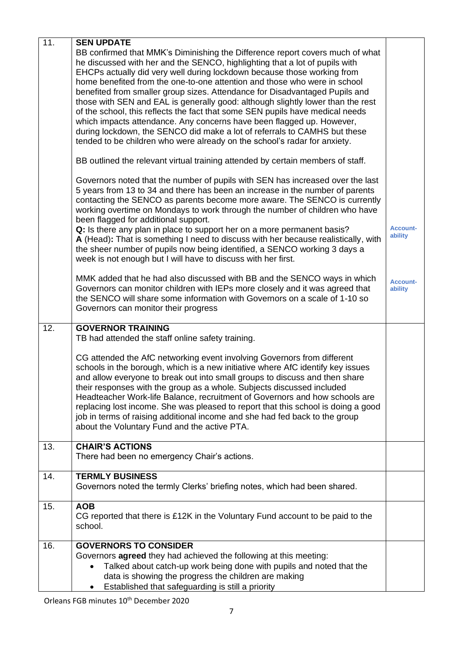| 11. | <b>SEN UPDATE</b>                                                                                                                                                                                                                                                                                                                                                                                                                                                                                                                                                                                                                                                                                                                                                                                                                                                                                                                                                                                                                                                |                            |
|-----|------------------------------------------------------------------------------------------------------------------------------------------------------------------------------------------------------------------------------------------------------------------------------------------------------------------------------------------------------------------------------------------------------------------------------------------------------------------------------------------------------------------------------------------------------------------------------------------------------------------------------------------------------------------------------------------------------------------------------------------------------------------------------------------------------------------------------------------------------------------------------------------------------------------------------------------------------------------------------------------------------------------------------------------------------------------|----------------------------|
|     | BB confirmed that MMK's Diminishing the Difference report covers much of what<br>he discussed with her and the SENCO, highlighting that a lot of pupils with<br>EHCPs actually did very well during lockdown because those working from<br>home benefited from the one-to-one attention and those who were in school<br>benefited from smaller group sizes. Attendance for Disadvantaged Pupils and<br>those with SEN and EAL is generally good: although slightly lower than the rest<br>of the school, this reflects the fact that some SEN pupils have medical needs<br>which impacts attendance. Any concerns have been flagged up. However,<br>during lockdown, the SENCO did make a lot of referrals to CAMHS but these<br>tended to be children who were already on the school's radar for anxiety.<br>BB outlined the relevant virtual training attended by certain members of staff.<br>Governors noted that the number of pupils with SEN has increased over the last<br>5 years from 13 to 34 and there has been an increase in the number of parents |                            |
|     | contacting the SENCO as parents become more aware. The SENCO is currently<br>working overtime on Mondays to work through the number of children who have                                                                                                                                                                                                                                                                                                                                                                                                                                                                                                                                                                                                                                                                                                                                                                                                                                                                                                         |                            |
|     | been flagged for additional support.<br>Q: Is there any plan in place to support her on a more permanent basis?<br>A (Head): That is something I need to discuss with her because realistically, with<br>the sheer number of pupils now being identified, a SENCO working 3 days a<br>week is not enough but I will have to discuss with her first.                                                                                                                                                                                                                                                                                                                                                                                                                                                                                                                                                                                                                                                                                                              | <b>Account-</b><br>ability |
|     | MMK added that he had also discussed with BB and the SENCO ways in which<br>Governors can monitor children with IEPs more closely and it was agreed that<br>the SENCO will share some information with Governors on a scale of 1-10 so<br>Governors can monitor their progress                                                                                                                                                                                                                                                                                                                                                                                                                                                                                                                                                                                                                                                                                                                                                                                   | <b>Account-</b><br>ability |
| 12. | <b>GOVERNOR TRAINING</b><br>TB had attended the staff online safety training.                                                                                                                                                                                                                                                                                                                                                                                                                                                                                                                                                                                                                                                                                                                                                                                                                                                                                                                                                                                    |                            |
|     | CG attended the AfC networking event involving Governors from different<br>schools in the borough, which is a new initiative where AfC identify key issues<br>and allow everyone to break out into small groups to discuss and then share<br>their responses with the group as a whole. Subjects discussed included<br>Headteacher Work-life Balance, recruitment of Governors and how schools are<br>replacing lost income. She was pleased to report that this school is doing a good<br>job in terms of raising additional income and she had fed back to the group<br>about the Voluntary Fund and the active PTA.                                                                                                                                                                                                                                                                                                                                                                                                                                           |                            |
| 13. | <b>CHAIR'S ACTIONS</b><br>There had been no emergency Chair's actions.                                                                                                                                                                                                                                                                                                                                                                                                                                                                                                                                                                                                                                                                                                                                                                                                                                                                                                                                                                                           |                            |
| 14. | <b>TERMLY BUSINESS</b><br>Governors noted the termly Clerks' briefing notes, which had been shared.                                                                                                                                                                                                                                                                                                                                                                                                                                                                                                                                                                                                                                                                                                                                                                                                                                                                                                                                                              |                            |
| 15. | <b>AOB</b><br>CG reported that there is £12K in the Voluntary Fund account to be paid to the<br>school.                                                                                                                                                                                                                                                                                                                                                                                                                                                                                                                                                                                                                                                                                                                                                                                                                                                                                                                                                          |                            |
| 16. | <b>GOVERNORS TO CONSIDER</b>                                                                                                                                                                                                                                                                                                                                                                                                                                                                                                                                                                                                                                                                                                                                                                                                                                                                                                                                                                                                                                     |                            |
|     | Governors <b>agreed</b> they had achieved the following at this meeting:<br>Talked about catch-up work being done with pupils and noted that the<br>data is showing the progress the children are making<br>Established that safeguarding is still a priority                                                                                                                                                                                                                                                                                                                                                                                                                                                                                                                                                                                                                                                                                                                                                                                                    |                            |